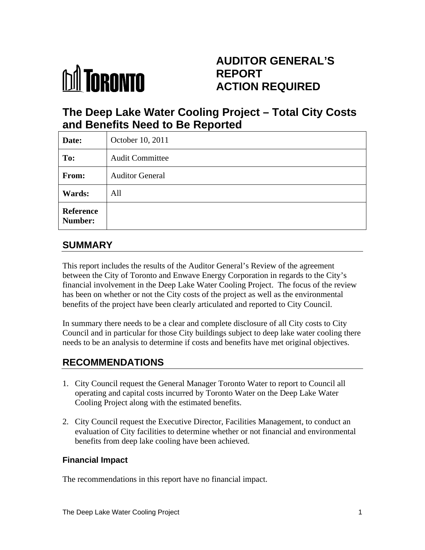

# **AUDITOR GENERAL'S REPORT ACTION REQUIRED**

# **The Deep Lake Water Cooling Project – Total City Costs and Benefits Need to Be Reported**

| Date:                       | October 10, 2011       |  |
|-----------------------------|------------------------|--|
| To:                         | <b>Audit Committee</b> |  |
| From:                       | <b>Auditor General</b> |  |
| <b>Wards:</b>               | All                    |  |
| Reference<br><b>Number:</b> |                        |  |

## **SUMMARY**

This report includes the results of the Auditor General's Review of the agreement between the City of Toronto and Enwave Energy Corporation in regards to the City's financial involvement in the Deep Lake Water Cooling Project. The focus of the review has been on whether or not the City costs of the project as well as the environmental benefits of the project have been clearly articulated and reported to City Council.

In summary there needs to be a clear and complete disclosure of all City costs to City Council and in particular for those City buildings subject to deep lake water cooling there needs to be an analysis to determine if costs and benefits have met original objectives.

# **RECOMMENDATIONS**

- 1. City Council request the General Manager Toronto Water to report to Council all operating and capital costs incurred by Toronto Water on the Deep Lake Water Cooling Project along with the estimated benefits.
- 2. City Council request the Executive Director, Facilities Management, to conduct an evaluation of City facilities to determine whether or not financial and environmental benefits from deep lake cooling have been achieved.

### **Financial Impact**

The recommendations in this report have no financial impact.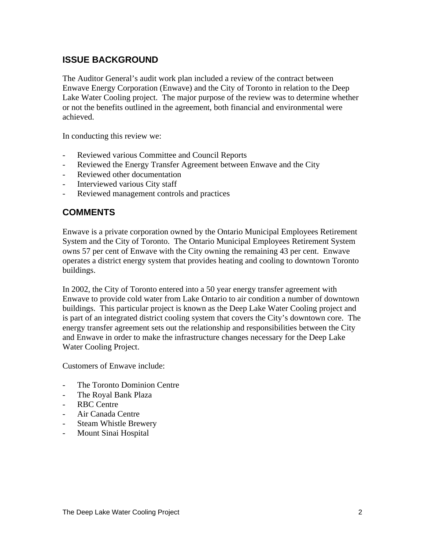## **ISSUE BACKGROUND**

The Auditor General's audit work plan included a review of the contract between Enwave Energy Corporation (Enwave) and the City of Toronto in relation to the Deep Lake Water Cooling project. The major purpose of the review was to determine whether or not the benefits outlined in the agreement, both financial and environmental were achieved.

In conducting this review we:

- Reviewed various Committee and Council Reports
- Reviewed the Energy Transfer Agreement between Enwave and the City
- Reviewed other documentation
- Interviewed various City staff
- Reviewed management controls and practices

### **COMMENTS**

Enwave is a private corporation owned by the Ontario Municipal Employees Retirement System and the City of Toronto. The Ontario Municipal Employees Retirement System owns 57 per cent of Enwave with the City owning the remaining 43 per cent. Enwave operates a district energy system that provides heating and cooling to downtown Toronto buildings.

In 2002, the City of Toronto entered into a 50 year energy transfer agreement with Enwave to provide cold water from Lake Ontario to air condition a number of downtown buildings. This particular project is known as the Deep Lake Water Cooling project and is part of an integrated district cooling system that covers the City's downtown core. The energy transfer agreement sets out the relationship and responsibilities between the City and Enwave in order to make the infrastructure changes necessary for the Deep Lake Water Cooling Project.

Customers of Enwave include:

- The Toronto Dominion Centre
- The Royal Bank Plaza
- RBC Centre
- Air Canada Centre
- Steam Whistle Brewery
- Mount Sinai Hospital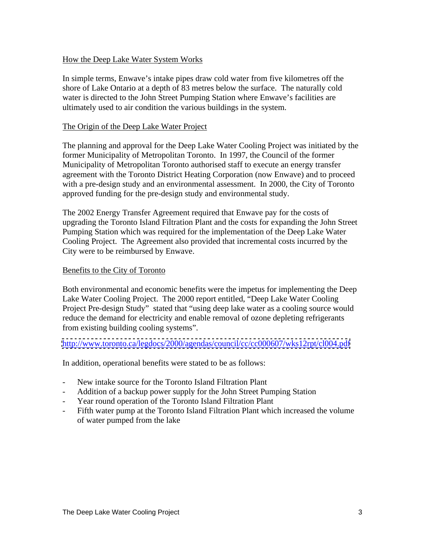#### How the Deep Lake Water System Works

In simple terms, Enwave's intake pipes draw cold water from five kilometres off the shore of Lake Ontario at a depth of 83 metres below the surface. The naturally cold water is directed to the John Street Pumping Station where Enwave's facilities are ultimately used to air condition the various buildings in the system.

#### The Origin of the Deep Lake Water Project

The planning and approval for the Deep Lake Water Cooling Project was initiated by the former Municipality of Metropolitan Toronto. In 1997, the Council of the former Municipality of Metropolitan Toronto authorised staff to execute an energy transfer agreement with the Toronto District Heating Corporation (now Enwave) and to proceed with a pre-design study and an environmental assessment. In 2000, the City of Toronto approved funding for the pre-design study and environmental study.

The 2002 Energy Transfer Agreement required that Enwave pay for the costs of upgrading the Toronto Island Filtration Plant and the costs for expanding the John Street Pumping Station which was required for the implementation of the Deep Lake Water Cooling Project. The Agreement also provided that incremental costs incurred by the City were to be reimbursed by Enwave.

#### Benefits to the City of Toronto

Both environmental and economic benefits were the impetus for implementing the Deep Lake Water Cooling Project. The 2000 report entitled, "Deep Lake Water Cooling Project Pre-design Study" stated that "using deep lake water as a cooling source would reduce the demand for electricity and enable removal of ozone depleting refrigerants from existing building cooling systems".

<http://www.toronto.ca/legdocs/2000/agendas/council/cc/cc000607/wks12rpt/cl004.pdf>

In addition, operational benefits were stated to be as follows:

- New intake source for the Toronto Island Filtration Plant
- Addition of a backup power supply for the John Street Pumping Station
- Year round operation of the Toronto Island Filtration Plant
- Fifth water pump at the Toronto Island Filtration Plant which increased the volume of water pumped from the lake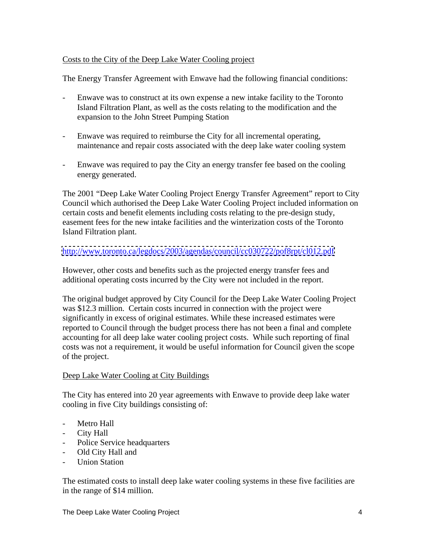### Costs to the City of the Deep Lake Water Cooling project

The Energy Transfer Agreement with Enwave had the following financial conditions:

- Enwave was to construct at its own expense a new intake facility to the Toronto Island Filtration Plant, as well as the costs relating to the modification and the expansion to the John Street Pumping Station
- Enwave was required to reimburse the City for all incremental operating, maintenance and repair costs associated with the deep lake water cooling system
- Enwave was required to pay the City an energy transfer fee based on the cooling energy generated.

The 2001 "Deep Lake Water Cooling Project Energy Transfer Agreement" report to City Council which authorised the Deep Lake Water Cooling Project included information on certain costs and benefit elements including costs relating to the pre-design study, easement fees for the new intake facilities and the winterization costs of the Toronto Island Filtration plant.

#### <http://www.toronto.ca/legdocs/2003/agendas/council/cc030722/pof8rpt/cl012.pdf>

However, other costs and benefits such as the projected energy transfer fees and additional operating costs incurred by the City were not included in the report.

The original budget approved by City Council for the Deep Lake Water Cooling Project was \$12.3 million. Certain costs incurred in connection with the project were significantly in excess of original estimates. While these increased estimates were reported to Council through the budget process there has not been a final and complete accounting for all deep lake water cooling project costs. While such reporting of final costs was not a requirement, it would be useful information for Council given the scope of the project.

#### Deep Lake Water Cooling at City Buildings

The City has entered into 20 year agreements with Enwave to provide deep lake water cooling in five City buildings consisting of:

- Metro Hall
- City Hall
- Police Service headquarters
- Old City Hall and
- Union Station

The estimated costs to install deep lake water cooling systems in these five facilities are in the range of \$14 million.